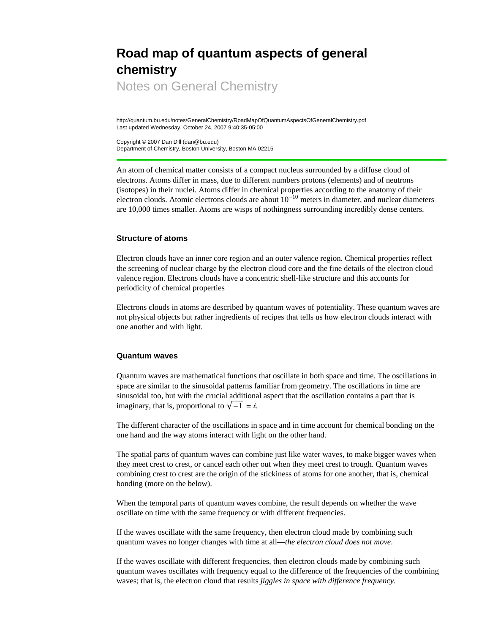# **Road map of quantum aspects of general chemistry**

Notes on General Chemistry

http://quantum.bu.edu/notes/GeneralChemistry/RoadMapOfQuantumAspectsOfGeneralChemistry.pdf Last updated Wednesday, October 24, 2007 9:40:35-05:00

Copyright © 2007 Dan Dill (dan@bu.edu) Department of Chemistry, Boston University, Boston MA 02215

An atom of chemical matter consists of a compact nucleus surrounded by a diffuse cloud of electrons. Atoms differ in mass, due to different numbers protons (elements) and of neutrons (isotopes) in their nuclei. Atoms differ in chemical properties according to the anatomy of their electron clouds. Atomic electrons clouds are about  $10^{-10}$  meters in diameter, and nuclear diameters are 10,000 times smaller. Atoms are wisps of nothingness surrounding incredibly dense centers.

## **Structure of atoms**

Electron clouds have an inner core region and an outer valence region. Chemical properties reflect the screening of nuclear charge by the electron cloud core and the fine details of the electron cloud valence region. Electrons clouds have a concentric shell-like structure and this accounts for periodicity of chemical properties

Electrons clouds in atoms are described by quantum waves of potentiality. These quantum waves are not physical objects but rather ingredients of recipes that tells us how electron clouds interact with one another and with light.

## **Quantum waves**

Quantum waves are mathematical functions that oscillate in both space and time. The oscillations in space are similar to the sinusoidal patterns familiar from geometry. The oscillations in time are sinusoidal too, but with the crucial additional aspect that the oscillation contains a part that is imaginary, that is, proportional to  $\sqrt{-1} = i$ .

The different character of the oscillations in space and in time account for chemical bonding on the one hand and the way atoms interact with light on the other hand.

The spatial parts of quantum waves can combine just like water waves, to make bigger waves when they meet crest to crest, or cancel each other out when they meet crest to trough. Quantum waves combining crest to crest are the origin of the stickiness of atoms for one another, that is, chemical bonding (more on the below).

When the temporal parts of quantum waves combine, the result depends on whether the wave oscillate on time with the same frequency or with different frequencies.

If the waves oscillate with the same frequency, then electron cloud made by combining such quantum waves no longer changes with time at all—*the electron cloud does not move*.

If the waves oscillate with different frequencies, then electron clouds made by combining such quantum waves oscillates with frequency equal to the difference of the frequencies of the combining waves; that is, the electron cloud that results *jiggles in space with difference frequency*.